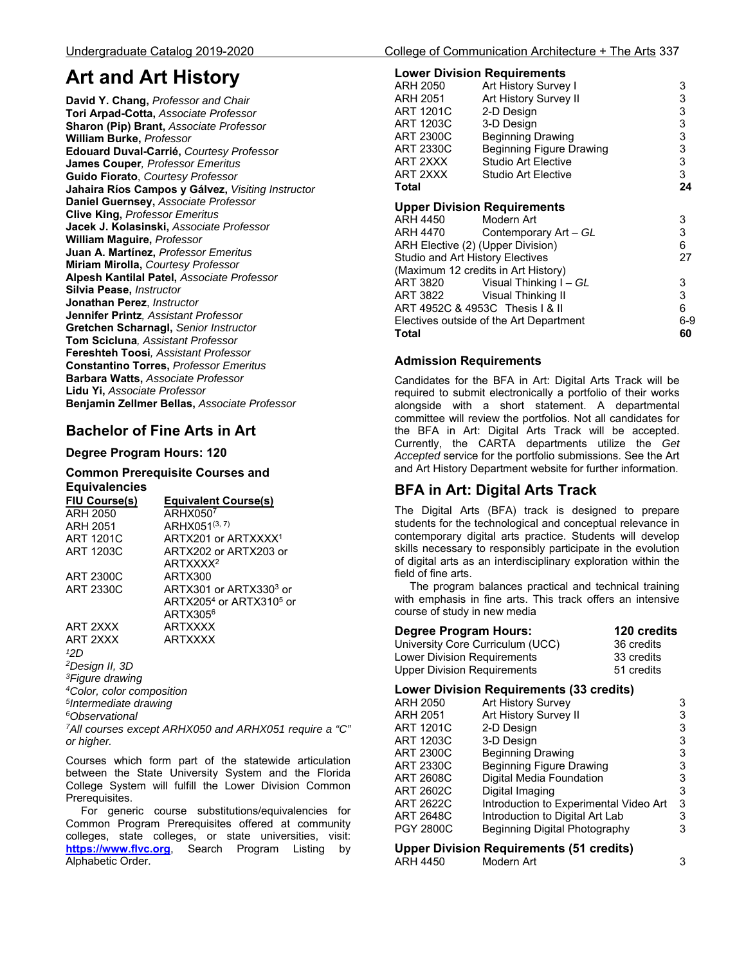# **Art and Art History**

**David Y. Chang,** *Professor and Chair*  **Tori Arpad-Cotta,** *Associate Professor* **Sharon (Pip) Brant,** *Associate Professor* **William Burke,** *Professor*  **Edouard Duval-Carrié,** *Courtesy Professor*  **James Couper***, Professor Emeritus*  **Guido Fiorato**, *Courtesy Professor*  **Jahaira Ríos Campos y Gálvez,** *Visiting Instructor*  **Daniel Guernsey,** *Associate Professor*  **Clive King,** *Professor Emeritus*  **Jacek J. Kolasinski,** *Associate Professor*  **William Maguire,** *Professor*  **Juan A. Martínez,** *Professor Emeritus*  **Miriam Mirolla,** *Courtesy Professor*  **Alpesh Kantilal Patel,** *Associate Professor*  **Silvia Pease,** *Instructor*  **Jonathan Perez**, *Instructor* **Jennifer Printz***, Assistant Professor*  **Gretchen Scharnagl,** *Senior Instructor*  **Tom Scicluna***, Assistant Professor*  **Fereshteh Toosi***, Assistant Professor*  **Constantino Torres,** *Professor Emeritus*  **Barbara Watts,** *Associate Professor*  **Lidu Yi,** *Associate Professor*  **Benjamin Zellmer Bellas,** *Associate Professor* 

## **Bachelor of Fine Arts in Art**

## **Degree Program Hours: 120**

## **Common Prerequisite Courses and Equivalencies**

| FIU Course(s)    | <b>Equivalent Course(s)</b>         |
|------------------|-------------------------------------|
| ARH 2050         | ARHX050 <sup>7</sup>                |
| ARH 2051         | $ARHX051^{(3, 7)}$                  |
| ART 1201C        | ARTX201 or ARTXXXX <sup>1</sup>     |
| <b>ART 1203C</b> | ARTX202 or ARTX203 or               |
|                  | ARTXXXX <sup>2</sup>                |
| <b>ART 2300C</b> | ARTX300                             |
| <b>ART 2330C</b> | ARTX301 or ARTX330 <sup>3</sup> or  |
|                  | ARTX2054 or ARTX310 <sup>5</sup> or |
|                  | ARTX305 <sup>6</sup>                |
| ART 2XXX         | <b>ARTXXXX</b>                      |
| ART 2XXX         | <b>ARTXXXX</b>                      |

*¹2D* 

*2Design II, 3D* 

*3Figure drawing* 

*4Color, color composition* 

*5Intermediate drawing* 

*6Observational* 

*7All courses except ARHX050 and ARHX051 require a "C" or higher.* 

Courses which form part of the statewide articulation between the State University System and the Florida College System will fulfill the Lower Division Common Prerequisites.

 For generic course substitutions/equivalencies for Common Program Prerequisites offered at community colleges, state colleges, or state universities, visit: **https://www.flvc.org**, Search Program Listing by Alphabetic Order.

#### **Lower Division Requirements**

|                                   | <b>LUMEI DIMPIOII UEDAILEIIIEIIIS</b>   |       |
|-----------------------------------|-----------------------------------------|-------|
| ARH 2050                          | Art History Survey I                    | 3     |
| ARH 2051                          | Art History Survey II                   | 3     |
| <b>ART 1201C</b>                  | 2-D Design                              | 3     |
| <b>ART 1203C</b>                  | 3-D Design                              | 3     |
| <b>ART 2300C</b>                  | <b>Beginning Drawing</b>                | 3     |
| ART 2330C                         | <b>Beginning Figure Drawing</b>         | 3     |
| ART 2XXX                          | <b>Studio Art Elective</b>              | 3     |
| ART 2XXX                          | Studio Art Elective                     | 3     |
| Total                             |                                         | 24    |
|                                   | <b>Upper Division Requirements</b>      |       |
| ARH 4450                          | Modern Art                              | 3     |
| ARH 4470                          | Contemporary Art - GL                   | 3     |
| ARH Elective (2) (Upper Division) |                                         | 6     |
| Studio and Art History Electives  |                                         | 27    |
|                                   | (Maximum 12 credits in Art History)     |       |
| ART 3820                          | Visual Thinking I – GL                  | 3     |
| ART 3822                          | Visual Thinking II                      | 3     |
| ART 4952C & 4953C Thesis   & II   |                                         | 6     |
|                                   | Electives outside of the Art Department | $6-9$ |
| Total                             |                                         | 60    |
|                                   |                                         |       |

## **Admission Requirements**

Candidates for the BFA in Art: Digital Arts Track will be required to submit electronically a portfolio of their works alongside with a short statement. A departmental committee will review the portfolios. Not all candidates for the BFA in Art: Digital Arts Track will be accepted. Currently, the CARTA departments utilize the *Get Accepted* service for the portfolio submissions. See the Art and Art History Department website for further information.

## **BFA in Art: Digital Arts Track**

The Digital Arts (BFA) track is designed to prepare students for the technological and conceptual relevance in contemporary digital arts practice. Students will develop skills necessary to responsibly participate in the evolution of digital arts as an interdisciplinary exploration within the field of fine arts.

 The program balances practical and technical training with emphasis in fine arts. This track offers an intensive course of study in new media

| Degree Program Hours:              | 120 credits |
|------------------------------------|-------------|
| University Core Curriculum (UCC)   | 36 credits  |
| Lower Division Requirements        | 33 credits  |
| <b>Upper Division Requirements</b> | 51 credits  |
|                                    |             |

## **Lower Division Requirements (33 credits)**

| <b>Art History Survey</b>                | 3 |  |
|------------------------------------------|---|--|
| Art History Survey II                    | 3 |  |
| 2-D Design                               | 3 |  |
| 3-D Design                               | 3 |  |
| <b>Beginning Drawing</b>                 | 3 |  |
| Beginning Figure Drawing                 | 3 |  |
| Digital Media Foundation                 | 3 |  |
| Digital Imaging                          | 3 |  |
| Introduction to Experimental Video Art   | 3 |  |
| Introduction to Digital Art Lab          | 3 |  |
| Beginning Digital Photography            | 3 |  |
| Unner Division Requirements (51 credits) |   |  |
|                                          |   |  |

**Upper Division Requirements (51 credits)** ARH 4450 Modern Art 3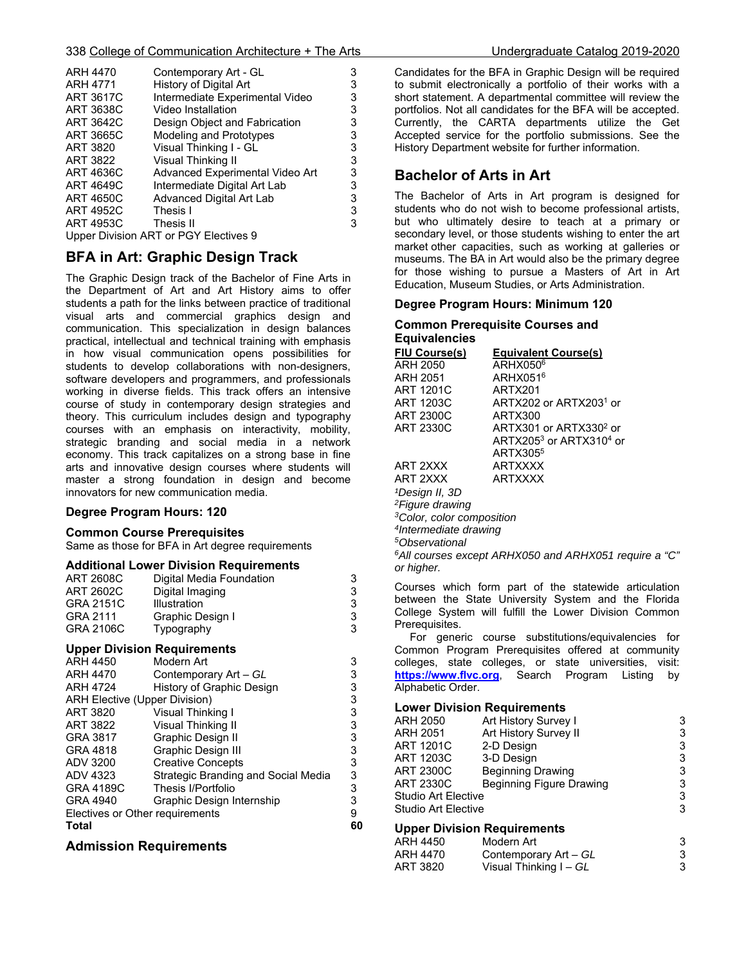| <b>ARH 4470</b>  | Contemporary Art - GL                 | 3 |
|------------------|---------------------------------------|---|
| <b>ARH 4771</b>  | History of Digital Art                | 3 |
| <b>ART 3617C</b> | Intermediate Experimental Video       | 3 |
| ART 3638C        | Video Installation                    | 3 |
| ART 3642C        | Design Object and Fabrication         | 3 |
| ART 3665C        | Modeling and Prototypes               | 3 |
| ART 3820         | Visual Thinking I - GL                | 3 |
| <b>ART 3822</b>  | <b>Visual Thinking II</b>             | 3 |
| ART 4636C        | Advanced Experimental Video Art       | 3 |
| <b>ART 4649C</b> | Intermediate Digital Art Lab          | 3 |
| <b>ART 4650C</b> | Advanced Digital Art Lab              | 3 |
| <b>ART 4952C</b> | Thesis I                              | 3 |
| ART 4953C        | Thesis II                             | 3 |
|                  | Upper Division ART or PGY Electives 9 |   |

## **BFA in Art: Graphic Design Track**

The Graphic Design track of the Bachelor of Fine Arts in the Department of Art and Art History aims to offer students a path for the links between practice of traditional visual arts and commercial graphics design and communication. This specialization in design balances practical, intellectual and technical training with emphasis in how visual communication opens possibilities for students to develop collaborations with non-designers, software developers and programmers, and professionals working in diverse fields. This track offers an intensive course of study in contemporary design strategies and theory. This curriculum includes design and typography courses with an emphasis on interactivity, mobility, strategic branding and social media in a network economy. This track capitalizes on a strong base in fine arts and innovative design courses where students will master a strong foundation in design and become innovators for new communication media.

#### **Degree Program Hours: 120**

#### **Common Course Prerequisites**

Same as those for BFA in Art degree requirements

#### **Additional Lower Division Requirements**

| ART 2608C                            | Digital Media Foundation            | 3                                          |
|--------------------------------------|-------------------------------------|--------------------------------------------|
| <b>ART 2602C</b>                     | Digital Imaging                     |                                            |
| <b>GRA 2151C</b>                     | Illustration                        | $\begin{array}{c} 3 \\ 3 \\ 3 \end{array}$ |
| GRA 2111                             | Graphic Design I                    |                                            |
| <b>GRA 2106C</b>                     | Typography                          |                                            |
|                                      | <b>Upper Division Requirements</b>  |                                            |
| ARH 4450                             | Modern Art                          | 3                                          |
| ARH 4470                             | Contemporary Art - GL               |                                            |
| <b>ARH 4724</b>                      | History of Graphic Design           |                                            |
| <b>ARH Elective (Upper Division)</b> |                                     | 3333333333                                 |
| ART 3820                             | Visual Thinking I                   |                                            |
| ART 3822                             | Visual Thinking II                  |                                            |
| GRA 3817                             | <b>Graphic Design II</b>            |                                            |
| GRA 4818                             | Graphic Design III                  |                                            |
| ADV 3200                             | <b>Creative Concepts</b>            |                                            |
| ADV 4323                             | Strategic Branding and Social Media |                                            |
| <b>GRA 4189C</b>                     | Thesis I/Portfolio                  |                                            |
| <b>GRA 4940</b>                      | Graphic Design Internship           |                                            |
| Electives or Other requirements      |                                     | 9                                          |
| Total                                |                                     | 60                                         |
|                                      |                                     |                                            |

#### **Admission Requirements**

Candidates for the BFA in Graphic Design will be required to submit electronically a portfolio of their works with a short statement. A departmental committee will review the portfolios. Not all candidates for the BFA will be accepted. Currently, the CARTA departments utilize the Get Accepted service for the portfolio submissions. See the History Department website for further information.

## **Bachelor of Arts in Art**

The Bachelor of Arts in Art program is designed for students who do not wish to become professional artists, but who ultimately desire to teach at a primary or secondary level, or those students wishing to enter the art market other capacities, such as working at galleries or museums. The BA in Art would also be the primary degree for those wishing to pursue a Masters of Art in Art Education, Museum Studies, or Arts Administration.

#### **Degree Program Hours: Minimum 120**

#### **Common Prerequisite Courses and Equivalencies**

| <u>FIU Course(s)</u>                  | <b>Equivalent Course(s)</b>        |  |
|---------------------------------------|------------------------------------|--|
| ARH 2050                              | $ARHX050^6$                        |  |
| ARH 2051                              | ARHX051 <sup>6</sup>               |  |
| ART 1201C                             | ARTX201                            |  |
| ART 1203C                             | ARTX202 or ARTX2031 or             |  |
| ART 2300C                             | ARTX300                            |  |
| ART 2330C                             | ARTX301 or ARTX330 <sup>2</sup> or |  |
|                                       | ARTX2053 or ARTX3104 or            |  |
|                                       | ARTX305 <sup>5</sup>               |  |
| ART 2XXX                              | <b>ARTXXXX</b>                     |  |
| ART 2XXX                              | <b>ARTXXXX</b>                     |  |
| <sup>1</sup> Design II, 3D            |                                    |  |
| <sup>2</sup> Figure drawing           |                                    |  |
| <sup>3</sup> Color, color composition |                                    |  |
| <sup>4</sup> Intermediate drawing     |                                    |  |

*5Observational* 

*6All courses except ARHX050 and ARHX051 require a "C" or higher.* 

Courses which form part of the statewide articulation between the State University System and the Florida College System will fulfill the Lower Division Common Prerequisites.

 For generic course substitutions/equivalencies for Common Program Prerequisites offered at community colleges, state colleges, or state universities, visit: **https://www.flvc.org**, Search Program Listing by Alphabetic Order.

#### **Lower Division Requirements**

| <b>ARH 2050</b>            | Art History Survey I               | 3 |
|----------------------------|------------------------------------|---|
| ARH 2051                   | Art History Survey II              | 3 |
| <b>ART 1201C</b>           | 2-D Design                         | 3 |
| ART 1203C                  | 3-D Design                         | 3 |
| <b>ART 2300C</b>           | <b>Beginning Drawing</b>           | 3 |
| <b>ART 2330C</b>           | Beginning Figure Drawing           | 3 |
| <b>Studio Art Elective</b> |                                    | 3 |
| Studio Art Elective        |                                    | 3 |
|                            | <b>Upper Division Requirements</b> |   |
| ARH 4450                   | Modern Art                         | 3 |
| ARH 4470                   | Contemporary Art - GL              | 3 |
| ART 3820                   | Visual Thinking I – GL             | 3 |

Visual Thinking I – *GL* 3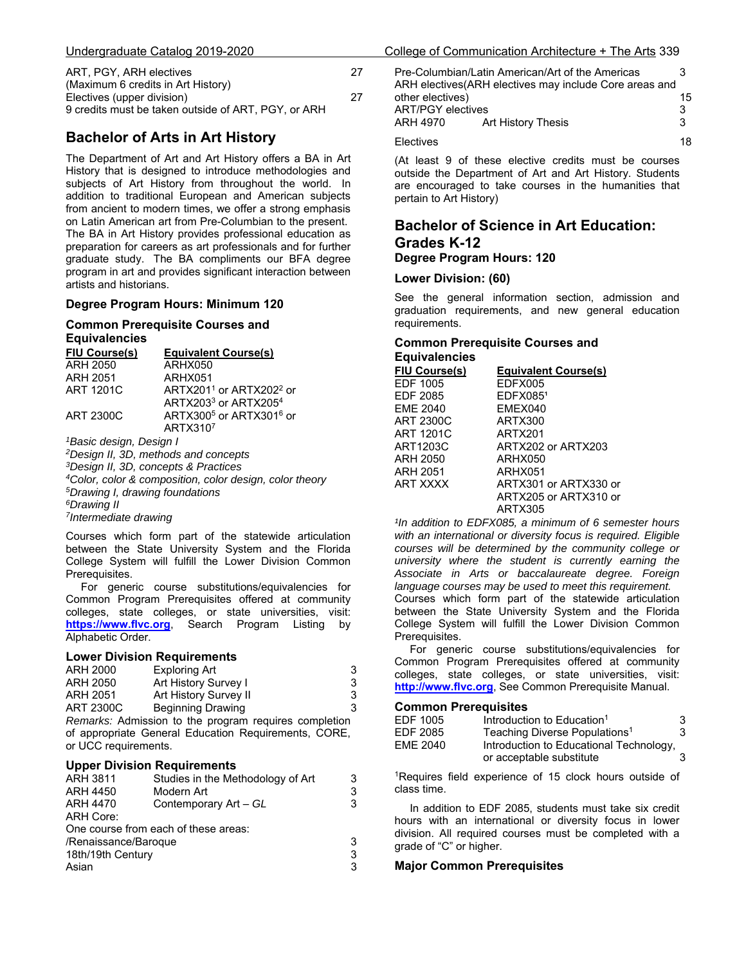|  | Undergraduate Catalog 2019-2020 |
|--|---------------------------------|
|  |                                 |

| ART, PGY, ARH electives                             | 27 |
|-----------------------------------------------------|----|
| (Maximum 6 credits in Art History)                  |    |
| Electives (upper division)                          | 27 |
| 9 credits must be taken outside of ART, PGY, or ARH |    |

## **Bachelor of Arts in Art History**

The Department of Art and Art History offers a BA in Art History that is designed to introduce methodologies and subjects of Art History from throughout the world. In addition to traditional European and American subjects from ancient to modern times, we offer a strong emphasis on Latin American art from Pre-Columbian to the present. The BA in Art History provides professional education as preparation for careers as art professionals and for further graduate study. The BA compliments our BFA degree program in art and provides significant interaction between artists and historians.

#### **Degree Program Hours: Minimum 120**

#### **Common Prerequisite Courses and Equivalencies**

| ____________            |                                                 |
|-------------------------|-------------------------------------------------|
| <b>FIU Course(s)</b>    | <b>Equivalent Course(s)</b>                     |
| <b>ARH 2050</b>         | ARHX050                                         |
| <b>ARH 2051</b>         | ARHX051                                         |
| <b>ART 1201C</b>        | ARTX201 <sup>1</sup> or ARTX202 <sup>2</sup> or |
|                         | ARTX2033 or ARTX2054                            |
| ART 2300C               | ARTX300 $5$ or ARTX301 $6$ or                   |
|                         | ARTX3107                                        |
| 1 Popio degian Degian I |                                                 |

*1Basic design, Design I 2Design II, 3D, methods and concepts 3Design II, 3D, concepts & Practices 4Color, color & composition, color design, color theory 5Drawing I, drawing foundations 6Drawing II 7Intermediate drawing* 

Courses which form part of the statewide articulation between the State University System and the Florida College System will fulfill the Lower Division Common Prerequisites.

 For generic course substitutions/equivalencies for Common Program Prerequisites offered at community colleges, state colleges, or state universities, visit: **https://www.flvc.org**, Search Program Listing by Alphabetic Order.

#### **Lower Division Requirements**

| ARH 2000  | <b>Exploring Art</b>     |  |
|-----------|--------------------------|--|
| ARH 2050  | Art History Survey I     |  |
| ARH 2051  | Art History Survey II    |  |
| ART 2300C | <b>Beginning Drawing</b> |  |

*Remarks:* Admission to the program requires completion of appropriate General Education Requirements, CORE, or UCC requirements.

#### **Upper Division Requirements**

| ARH 3811             | Studies in the Methodology of Art    |   |
|----------------------|--------------------------------------|---|
| <b>ARH 4450</b>      | Modern Art                           | 3 |
| <b>ARH 4470</b>      | Contemporary Art - GL                | 3 |
| ARH Core:            |                                      |   |
|                      | One course from each of these areas: |   |
| /Renaissance/Baroque |                                      | 3 |
| 18th/19th Century    |                                      | 3 |
| Asian                |                                      | 3 |
|                      |                                      |   |

| Undergraduate Catalog 2019-2020                                                   |    |                                                          | College of Communication Architecture + The Arts 339                                                        |    |
|-----------------------------------------------------------------------------------|----|----------------------------------------------------------|-------------------------------------------------------------------------------------------------------------|----|
| ART, PGY, ARH electives<br>(Maximum 6 credits in Art History)                     | 27 |                                                          | Pre-Columbian/Latin American/Art of the Americas<br>ARH electives (ARH electives may include Core areas and |    |
| Electives (upper division)<br>9 credits must be taken outside of ART, PGY, or ARH | 27 | other electives)<br><b>ART/PGY electives</b><br>ARH 4970 | Art History Thesis                                                                                          | 15 |
| <b>Bachelor of Arts in Art History</b>                                            |    | Electives                                                |                                                                                                             | 18 |

(At least 9 of these elective credits must be courses outside the Department of Art and Art History. Students are encouraged to take courses in the humanities that pertain to Art History)

### **Bachelor of Science in Art Education: Grades K-12 Degree Program Hours: 120**

#### **Lower Division: (60)**

See the general information section, admission and graduation requirements, and new general education requirements.

#### **Common Prerequisite Courses and Equivalencies**

| FIU Course(s)    | <b>Equivalent Course(s)</b> |
|------------------|-----------------------------|
| EDF 1005         | EDFX005                     |
| EDF 2085         | EDFX0851                    |
| <b>EME 2040</b>  | EMEX040                     |
| <b>ART 2300C</b> | ARTX300                     |
| ART 1201C        | ARTX201                     |
| ART1203C         | ARTX202 or ARTX203          |
| ARH 2050         | ARHX050                     |
| ARH 2051         | ARHX051                     |
| ART XXXX         | ARTX301 or ARTX330 or       |
|                  | ARTX205 or ARTX310 or       |
|                  | ARTX305                     |

*¹In addition to EDFX085, a minimum of 6 semester hours with an international or diversity focus is required. Eligible courses will be determined by the community college or university where the student is currently earning the Associate in Arts or baccalaureate degree. Foreign language courses may be used to meet this requirement.*  Courses which form part of the statewide articulation between the State University System and the Florida College System will fulfill the Lower Division Common Prerequisites.

 For generic course substitutions/equivalencies for Common Program Prerequisites offered at community colleges, state colleges, or state universities, visit: **http://www.flvc.org**, See Common Prerequisite Manual.

#### **Common Prerequisites**

| EDF 1005 | Introduction to Education <sup>1</sup>    | 3 |
|----------|-------------------------------------------|---|
| EDF 2085 | Teaching Diverse Populations <sup>1</sup> | 3 |
| EME 2040 | Introduction to Educational Technology,   |   |
|          | or acceptable substitute                  |   |
|          |                                           |   |

<sup>1</sup>Requires field experience of 15 clock hours outside of class time.

 In addition to EDF 2085, students must take six credit hours with an international or diversity focus in lower division. All required courses must be completed with a grade of "C" or higher.

#### **Major Common Prerequisites**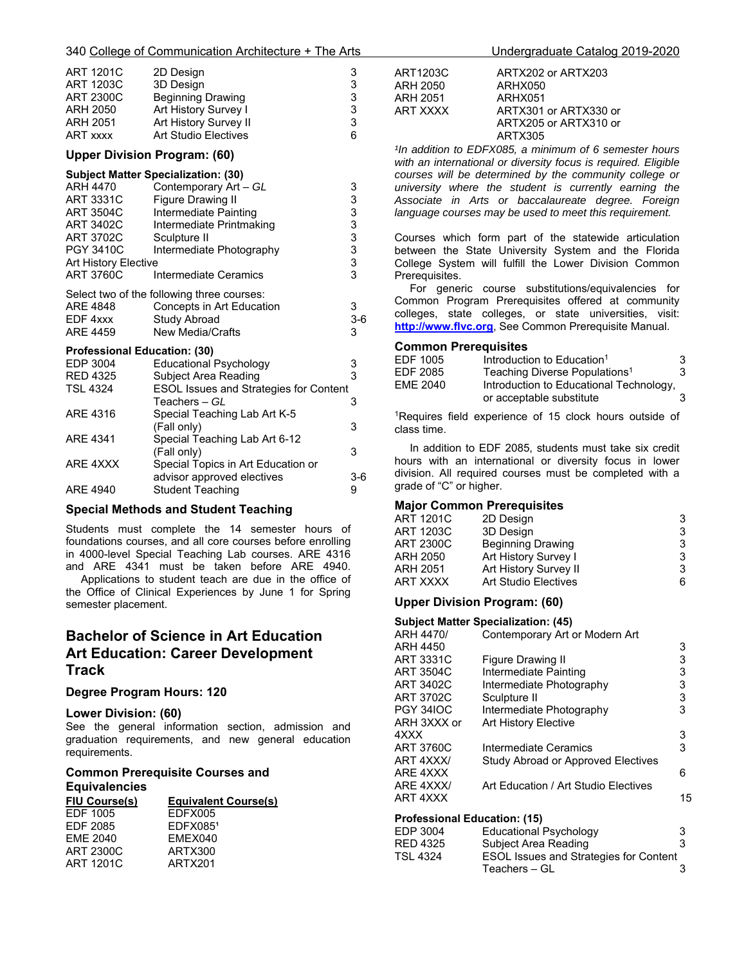#### 340 College of Communication Architecture + The Arts Undergraduate Catalog 2019-2020

| <b>ART 1201C</b> | 2D Design                   | 3 |
|------------------|-----------------------------|---|
| <b>ART 1203C</b> | 3D Design                   | 3 |
| <b>ART 2300C</b> | <b>Beginning Drawing</b>    | 3 |
| ARH 2050         | Art History Survey I        | 3 |
| <b>ARH 2051</b>  | Art History Survey II       | 3 |
| <b>ART xxxx</b>  | <b>Art Studio Electives</b> | 6 |

### **Upper Division Program: (60)**

|                                     | <b>Subject Matter Specialization: (30)</b> |       |
|-------------------------------------|--------------------------------------------|-------|
| ARH 4470                            | Contemporary Art - GL                      | 3     |
| <b>ART 3331C</b>                    | <b>Figure Drawing II</b>                   | 3     |
| ART 3504C                           | Intermediate Painting                      | 3     |
| ART 3402C                           | Intermediate Printmaking                   | 3     |
| ART 3702C                           | Sculpture II                               | 3     |
| <b>PGY 3410C</b>                    | Intermediate Photography                   | 3     |
| <b>Art History Elective</b>         |                                            | 3     |
| ART 3760C                           | Intermediate Ceramics                      | 3     |
|                                     | Select two of the following three courses: |       |
| ARE 4848                            | Concepts in Art Education                  | 3     |
| EDF 4xxx                            | <b>Study Abroad</b>                        | $3-6$ |
| ARE 4459                            | <b>New Media/Crafts</b>                    | 3     |
| <b>Professional Education: (30)</b> |                                            |       |
| EDP 3004                            | Educational Psychology                     | 3     |
| <b>RED 4325</b>                     | Subject Area Reading                       | 3     |
|                                     |                                            |       |

| <b>ESOL Issues and Strategies for Content</b> |
|-----------------------------------------------|
| З                                             |
|                                               |
| 3                                             |
|                                               |
| 3                                             |
| Special Topics in Art Education or            |
| $3-6$                                         |
| 9                                             |
|                                               |

#### **Special Methods and Student Teaching**

Students must complete the 14 semester hours of foundations courses, and all core courses before enrolling in 4000-level Special Teaching Lab courses. ARE 4316 and ARE 4341 must be taken before ARE 4940. Applications to student teach are due in the office of

the Office of Clinical Experiences by June 1 for Spring semester placement.

## **Bachelor of Science in Art Education Art Education: Career Development Track**

#### **Degree Program Hours: 120**

#### **Lower Division: (60)**

See the general information section, admission and graduation requirements, and new general education requirements.

#### **Common Prerequisite Courses and Equivalencies**

| <b>Equivalent Course(s)</b> |
|-----------------------------|
| EDFX005                     |
| EDFX0851                    |
| EMEX040                     |
| ARTX300                     |
| ARTX201                     |
|                             |

| ART1203C | ARTX202 or ARTX203    |
|----------|-----------------------|
| ARH 2050 | ARHX050               |
| ARH 2051 | ARHX051               |
| ART XXXX | ARTX301 or ARTX330 or |
|          | ARTX205 or ARTX310 or |
|          | ARTX305               |

*¹In addition to EDFX085, a minimum of 6 semester hours with an international or diversity focus is required. Eligible courses will be determined by the community college or university where the student is currently earning the Associate in Arts or baccalaureate degree. Foreign language courses may be used to meet this requirement.* 

Courses which form part of the statewide articulation between the State University System and the Florida College System will fulfill the Lower Division Common Prerequisites.

 For generic course substitutions/equivalencies for Common Program Prerequisites offered at community colleges, state colleges, or state universities, visit: **http://www.flvc.org**, See Common Prerequisite Manual.

#### **Common Prerequisites**

| EDF 1005 | Introduction to Education <sup>1</sup>    | 3 |
|----------|-------------------------------------------|---|
| EDF 2085 | Teaching Diverse Populations <sup>1</sup> | 3 |
| EME 2040 | Introduction to Educational Technology,   |   |
|          | or acceptable substitute                  |   |

<sup>1</sup>Requires field experience of 15 clock hours outside of class time.

 In addition to EDF 2085, students must take six credit hours with an international or diversity focus in lower division. All required courses must be completed with a grade of "C" or higher.

#### **Major Common Prerequisites**

| <b>ART 1201C</b> | 2D Design                | 3  |
|------------------|--------------------------|----|
| <b>ART 1203C</b> | 3D Design                | 3  |
| <b>ART 2300C</b> | <b>Beginning Drawing</b> | 3  |
| ARH 2050         | Art History Survey I     | 3  |
| ARH 2051         | Art History Survey II    | 3  |
| ART XXXX         | Art Studio Electives     | 6. |

#### **Upper Division Program: (60)**

|                              | <b>Subject Matter Specialization: (45)</b>    |                                            |
|------------------------------|-----------------------------------------------|--------------------------------------------|
| ARH 4470/                    | Contemporary Art or Modern Art                |                                            |
| ARH 4450                     |                                               | 3                                          |
| ART 3331C                    | Figure Drawing II                             | $\begin{array}{c} 3 \\ 3 \\ 3 \end{array}$ |
| ART 3504C                    | Intermediate Painting                         |                                            |
| ART 3402C                    | Intermediate Photography                      |                                            |
| ART 3702C                    | Sculpture II                                  | $\frac{3}{3}$                              |
| <b>PGY 34IOC</b>             | Intermediate Photography                      |                                            |
| ARH 3XXX or                  | Art History Elective                          |                                            |
| 4XXX                         |                                               | $\frac{3}{3}$                              |
| ART 3760C                    | Intermediate Ceramics                         |                                            |
| ART 4XXX/                    | Study Abroad or Approved Electives            |                                            |
| ARE 4XXX                     |                                               | 6                                          |
| ARE 4XXX/                    | Art Education / Art Studio Electives          |                                            |
| ART 4XXX                     |                                               | 15                                         |
| Professional Education: (15) |                                               |                                            |
| EDP 3004                     | <b>Educational Psychology</b>                 |                                            |
| RED 4325                     | Subject Area Reading                          | 3<br>3                                     |
| TSL 4324                     | <b>ESOL Issues and Strategies for Content</b> |                                            |
|                              | Teachers – Gl                                 | 3                                          |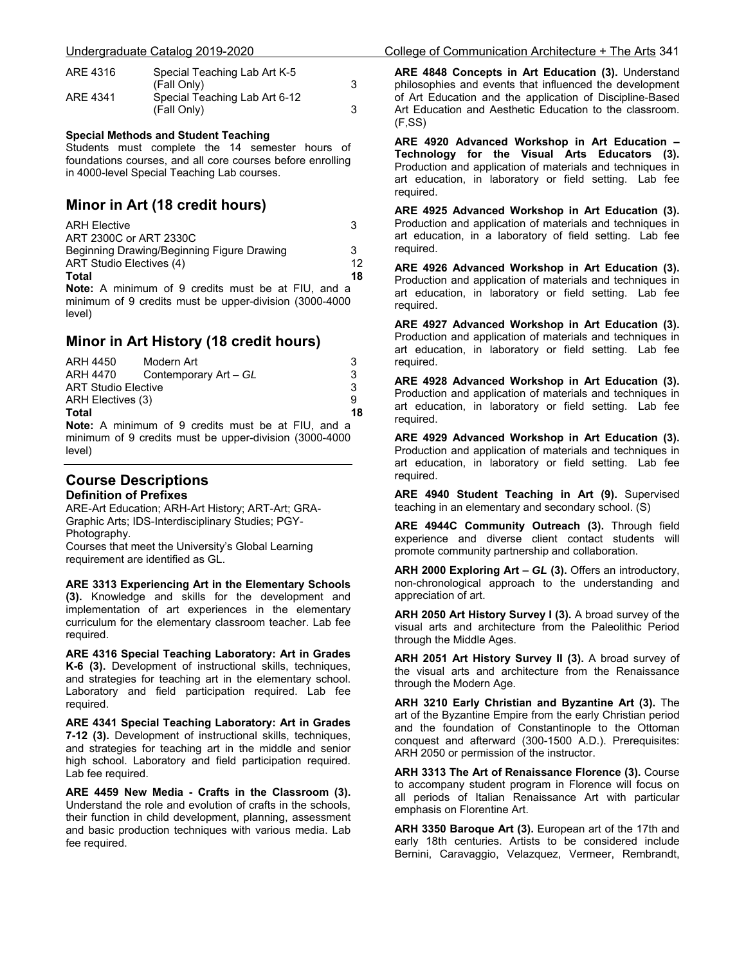| ARE 4316 | Special Teaching Lab Art K-5  |  |
|----------|-------------------------------|--|
|          | (Fall Only)                   |  |
| ARE 4341 | Special Teaching Lab Art 6-12 |  |
|          | (Fall Only)                   |  |

#### **Special Methods and Student Teaching**

Students must complete the 14 semester hours of foundations courses, and all core courses before enrolling in 4000-level Special Teaching Lab courses.

## **Minor in Art (18 credit hours)**

| <b>ARH Elective</b>                                       | 3  |
|-----------------------------------------------------------|----|
| ART 2300C or ART 2330C                                    |    |
| Beginning Drawing/Beginning Figure Drawing                | 3  |
| ART Studio Electives (4)                                  |    |
| Total                                                     | 18 |
| <b>Note:</b> A minimum of 9 credits must be at FIU, and a |    |
| minimum of 9 credits must be upper-division (3000-4000    |    |

## **Minor in Art History (18 credit hours)**

| ARH 4450                   | Modern Art                                                | 3  |
|----------------------------|-----------------------------------------------------------|----|
| ARH 4470                   | Contemporary Art - GL                                     | 3  |
| <b>ART Studio Elective</b> |                                                           | 3  |
| ARH Electives (3)          | a                                                         |    |
| Total                      |                                                           | 18 |
|                            | <b>Note:</b> A minimum of 9 credits must be at FIU, and a |    |

minimum of 9 credits must be upper-division (3000-4000 level)

#### **Course Descriptions Definition of Prefixes**

level)

ARE-Art Education; ARH-Art History; ART-Art; GRA-Graphic Arts; IDS-Interdisciplinary Studies; PGY-Photography. Courses that meet the University's Global Learning requirement are identified as GL.

**ARE 3313 Experiencing Art in the Elementary Schools (3).** Knowledge and skills for the development and implementation of art experiences in the elementary curriculum for the elementary classroom teacher. Lab fee required.

**ARE 4316 Special Teaching Laboratory: Art in Grades K-6 (3).** Development of instructional skills, techniques, and strategies for teaching art in the elementary school. Laboratory and field participation required. Lab fee required.

**ARE 4341 Special Teaching Laboratory: Art in Grades 7-12 (3).** Development of instructional skills, techniques, and strategies for teaching art in the middle and senior high school. Laboratory and field participation required. Lab fee required.

**ARE 4459 New Media - Crafts in the Classroom (3).**  Understand the role and evolution of crafts in the schools, their function in child development, planning, assessment and basic production techniques with various media. Lab fee required.

**ARE 4848 Concepts in Art Education (3).** Understand philosophies and events that influenced the development of Art Education and the application of Discipline-Based Art Education and Aesthetic Education to the classroom.  $(F,SS)$ 

**ARE 4920 Advanced Workshop in Art Education – Technology for the Visual Arts Educators (3).** Production and application of materials and techniques in art education, in laboratory or field setting. Lab fee required.

**ARE 4925 Advanced Workshop in Art Education (3).** Production and application of materials and techniques in art education, in a laboratory of field setting. Lab fee required.

**ARE 4926 Advanced Workshop in Art Education (3).** Production and application of materials and techniques in art education, in laboratory or field setting. Lab fee required.

**ARE 4927 Advanced Workshop in Art Education (3).** Production and application of materials and techniques in art education, in laboratory or field setting. Lab fee required.

**ARE 4928 Advanced Workshop in Art Education (3).** Production and application of materials and techniques in art education, in laboratory or field setting. Lab fee required.

**ARE 4929 Advanced Workshop in Art Education (3).** Production and application of materials and techniques in art education, in laboratory or field setting. Lab fee required.

**ARE 4940 Student Teaching in Art (9).** Supervised teaching in an elementary and secondary school. (S)

**ARE 4944C Community Outreach (3).** Through field experience and diverse client contact students will promote community partnership and collaboration.

**ARH 2000 Exploring Art –** *GL* **(3).** Offers an introductory, non-chronological approach to the understanding and appreciation of art.

**ARH 2050 Art History Survey I (3).** A broad survey of the visual arts and architecture from the Paleolithic Period through the Middle Ages.

**ARH 2051 Art History Survey II (3).** A broad survey of the visual arts and architecture from the Renaissance through the Modern Age.

**ARH 3210 Early Christian and Byzantine Art (3).** The art of the Byzantine Empire from the early Christian period and the foundation of Constantinople to the Ottoman conquest and afterward (300-1500 A.D.). Prerequisites: ARH 2050 or permission of the instructor.

**ARH 3313 The Art of Renaissance Florence (3).** Course to accompany student program in Florence will focus on all periods of Italian Renaissance Art with particular emphasis on Florentine Art.

**ARH 3350 Baroque Art (3).** European art of the 17th and early 18th centuries. Artists to be considered include Bernini, Caravaggio, Velazquez, Vermeer, Rembrandt,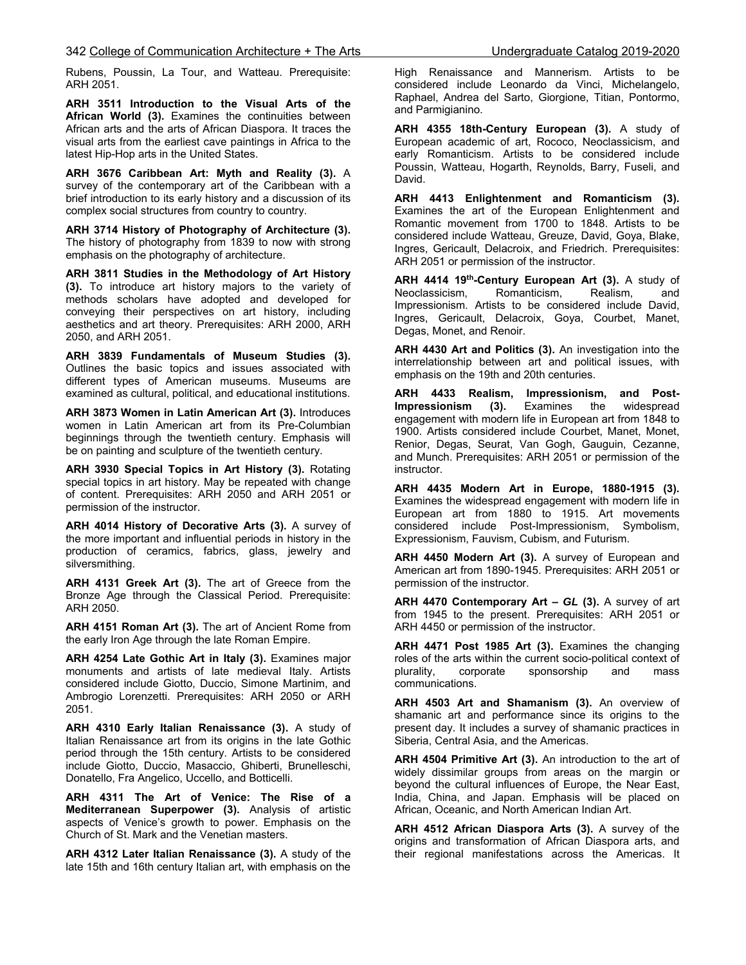Rubens, Poussin, La Tour, and Watteau. Prerequisite: ARH 2051.

**ARH 3511 Introduction to the Visual Arts of the African World (3).** Examines the continuities between African arts and the arts of African Diaspora. It traces the visual arts from the earliest cave paintings in Africa to the latest Hip-Hop arts in the United States.

**ARH 3676 Caribbean Art: Myth and Reality (3).** A survey of the contemporary art of the Caribbean with a brief introduction to its early history and a discussion of its complex social structures from country to country.

**ARH 3714 History of Photography of Architecture (3).** The history of photography from 1839 to now with strong emphasis on the photography of architecture.

**ARH 3811 Studies in the Methodology of Art History (3).** To introduce art history majors to the variety of methods scholars have adopted and developed for conveying their perspectives on art history, including aesthetics and art theory. Prerequisites: ARH 2000, ARH 2050, and ARH 2051.

**ARH 3839 Fundamentals of Museum Studies (3).** Outlines the basic topics and issues associated with different types of American museums. Museums are examined as cultural, political, and educational institutions.

**ARH 3873 Women in Latin American Art (3).** Introduces women in Latin American art from its Pre-Columbian beginnings through the twentieth century. Emphasis will be on painting and sculpture of the twentieth century.

**ARH 3930 Special Topics in Art History (3).** Rotating special topics in art history. May be repeated with change of content. Prerequisites: ARH 2050 and ARH 2051 or permission of the instructor.

**ARH 4014 History of Decorative Arts (3).** A survey of the more important and influential periods in history in the production of ceramics, fabrics, glass, jewelry and silversmithing.

**ARH 4131 Greek Art (3).** The art of Greece from the Bronze Age through the Classical Period. Prerequisite: ARH 2050.

**ARH 4151 Roman Art (3).** The art of Ancient Rome from the early Iron Age through the late Roman Empire.

**ARH 4254 Late Gothic Art in Italy (3).** Examines major monuments and artists of late medieval Italy. Artists considered include Giotto, Duccio, Simone Martinim, and Ambrogio Lorenzetti. Prerequisites: ARH 2050 or ARH 2051.

**ARH 4310 Early Italian Renaissance (3).** A study of Italian Renaissance art from its origins in the late Gothic period through the 15th century. Artists to be considered include Giotto, Duccio, Masaccio, Ghiberti, Brunelleschi, Donatello, Fra Angelico, Uccello, and Botticelli.

**ARH 4311 The Art of Venice: The Rise of a Mediterranean Superpower (3).** Analysis of artistic aspects of Venice's growth to power. Emphasis on the Church of St. Mark and the Venetian masters.

**ARH 4312 Later Italian Renaissance (3).** A study of the late 15th and 16th century Italian art, with emphasis on the High Renaissance and Mannerism. Artists to be considered include Leonardo da Vinci, Michelangelo, Raphael, Andrea del Sarto, Giorgione, Titian, Pontormo, and Parmigianino.

**ARH 4355 18th-Century European (3).** A study of European academic of art, Rococo, Neoclassicism, and early Romanticism. Artists to be considered include Poussin, Watteau, Hogarth, Reynolds, Barry, Fuseli, and David. j

**ARH 4413 Enlightenment and Romanticism (3).** Examines the art of the European Enlightenment and Romantic movement from 1700 to 1848. Artists to be considered include Watteau, Greuze, David, Goya, Blake, Ingres, Gericault, Delacroix, and Friedrich. Prerequisites: ARH 2051 or permission of the instructor.

**ARH 4414 19th-Century European Art (3).** A study of Neoclassicism, Romanticism, Realism, and Impressionism. Artists to be considered include David, Ingres, Gericault, Delacroix, Goya, Courbet, Manet, Degas, Monet, and Renoir.

**ARH 4430 Art and Politics (3).** An investigation into the interrelationship between art and political issues, with emphasis on the 19th and 20th centuries.

**ARH 4433 Realism, Impressionism, and Post-Impressionism (3).** Examines the widespread engagement with modern life in European art from 1848 to 1900. Artists considered include Courbet, Manet, Monet, Renior, Degas, Seurat, Van Gogh, Gauguin, Cezanne, and Munch. Prerequisites: ARH 2051 or permission of the instructor.

**ARH 4435 Modern Art in Europe, 1880-1915 (3).** Examines the widespread engagement with modern life in European art from 1880 to 1915. Art movements considered include Post-Impressionism, Symbolism, Expressionism, Fauvism, Cubism, and Futurism.

**ARH 4450 Modern Art (3).** A survey of European and American art from 1890-1945. Prerequisites: ARH 2051 or permission of the instructor.

**ARH 4470 Contemporary Art –** *GL* **(3).** A survey of art from 1945 to the present. Prerequisites: ARH 2051 or ARH 4450 or permission of the instructor.

**ARH 4471 Post 1985 Art (3).** Examines the changing roles of the arts within the current socio-political context of plurality, corporate sponsorship and mass communications.

**ARH 4503 Art and Shamanism (3).** An overview of shamanic art and performance since its origins to the present day. It includes a survey of shamanic practices in Siberia, Central Asia, and the Americas.

**ARH 4504 Primitive Art (3).** An introduction to the art of widely dissimilar groups from areas on the margin or beyond the cultural influences of Europe, the Near East, India, China, and Japan. Emphasis will be placed on African, Oceanic, and North American Indian Art.

**ARH 4512 African Diaspora Arts (3).** A survey of the origins and transformation of African Diaspora arts, and their regional manifestations across the Americas. It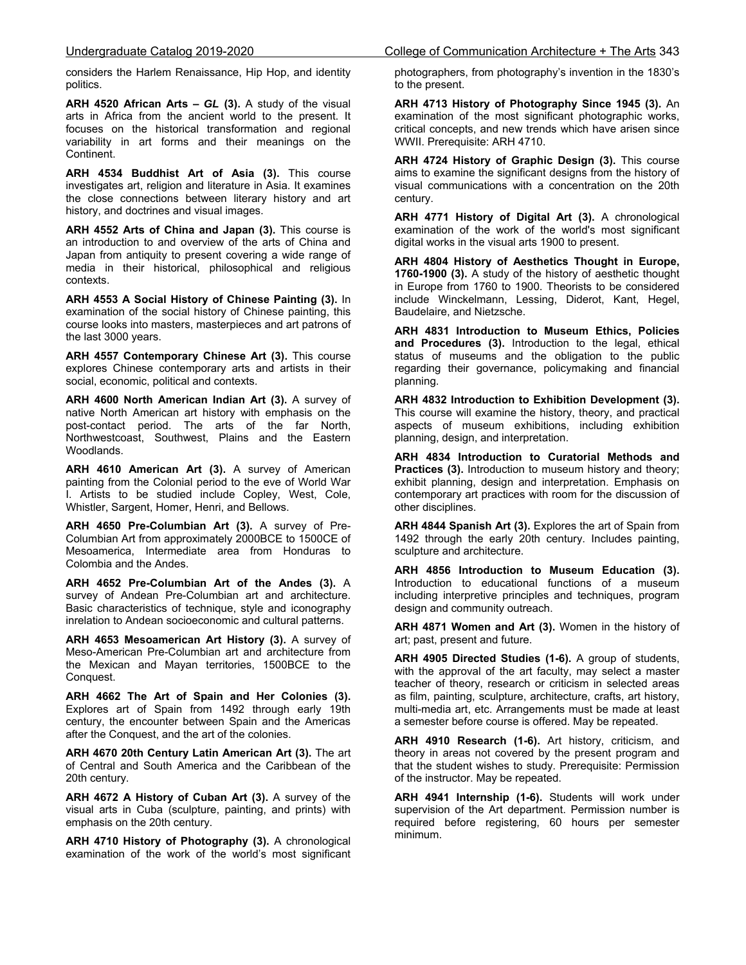considers the Harlem Renaissance, Hip Hop, and identity politics.

**ARH 4520 African Arts –** *GL* **(3).** A study of the visual arts in Africa from the ancient world to the present. It focuses on the historical transformation and regional variability in art forms and their meanings on the Continent.

**ARH 4534 Buddhist Art of Asia (3).** This course investigates art, religion and literature in Asia. It examines the close connections between literary history and art history, and doctrines and visual images.

**ARH 4552 Arts of China and Japan (3).** This course is an introduction to and overview of the arts of China and Japan from antiquity to present covering a wide range of media in their historical, philosophical and religious contexts.

**ARH 4553 A Social History of Chinese Painting (3).** In examination of the social history of Chinese painting, this course looks into masters, masterpieces and art patrons of the last 3000 years.

**ARH 4557 Contemporary Chinese Art (3).** This course explores Chinese contemporary arts and artists in their social, economic, political and contexts.

**ARH 4600 North American Indian Art (3).** A survey of native North American art history with emphasis on the post-contact period. The arts of the far North, Northwestcoast, Southwest, Plains and the Eastern Woodlands.

**ARH 4610 American Art (3).** A survey of American painting from the Colonial period to the eve of World War I. Artists to be studied include Copley, West, Cole, Whistler, Sargent, Homer, Henri, and Bellows.

**ARH 4650 Pre-Columbian Art (3).** A survey of Pre-Columbian Art from approximately 2000BCE to 1500CE of Mesoamerica, Intermediate area from Honduras to Colombia and the Andes.

**ARH 4652 Pre-Columbian Art of the Andes (3).** A survey of Andean Pre-Columbian art and architecture. Basic characteristics of technique, style and iconography inrelation to Andean socioeconomic and cultural patterns.

**ARH 4653 Mesoamerican Art History (3).** A survey of Meso-American Pre-Columbian art and architecture from the Mexican and Mayan territories, 1500BCE to the Conquest.

**ARH 4662 The Art of Spain and Her Colonies (3).** Explores art of Spain from 1492 through early 19th century, the encounter between Spain and the Americas after the Conquest, and the art of the colonies.

**ARH 4670 20th Century Latin American Art (3).** The art of Central and South America and the Caribbean of the 20th century.

**ARH 4672 A History of Cuban Art (3).** A survey of the visual arts in Cuba (sculpture, painting, and prints) with emphasis on the 20th century.

**ARH 4710 History of Photography (3).** A chronological examination of the work of the world's most significant photographers, from photography's invention in the 1830's to the present.

**ARH 4713 History of Photography Since 1945 (3).** An examination of the most significant photographic works, critical concepts, and new trends which have arisen since WWII. Prerequisite: ARH 4710.

**ARH 4724 History of Graphic Design (3).** This course aims to examine the significant designs from the history of visual communications with a concentration on the 20th century.

**ARH 4771 History of Digital Art (3).** A chronological examination of the work of the world's most significant digital works in the visual arts 1900 to present.

**ARH 4804 History of Aesthetics Thought in Europe, 1760-1900 (3).** A study of the history of aesthetic thought in Europe from 1760 to 1900. Theorists to be considered include Winckelmann, Lessing, Diderot, Kant, Hegel, Baudelaire, and Nietzsche.

**ARH 4831 Introduction to Museum Ethics, Policies and Procedures (3).** Introduction to the legal, ethical status of museums and the obligation to the public regarding their governance, policymaking and financial planning.

**ARH 4832 Introduction to Exhibition Development (3).** This course will examine the history, theory, and practical aspects of museum exhibitions, including exhibition planning, design, and interpretation.

**ARH 4834 Introduction to Curatorial Methods and Practices (3).** Introduction to museum history and theory; exhibit planning, design and interpretation. Emphasis on contemporary art practices with room for the discussion of other disciplines.

**ARH 4844 Spanish Art (3).** Explores the art of Spain from 1492 through the early 20th century. Includes painting, sculpture and architecture.

**ARH 4856 Introduction to Museum Education (3).** Introduction to educational functions of a museum including interpretive principles and techniques, program design and community outreach.

**ARH 4871 Women and Art (3).** Women in the history of art; past, present and future.

**ARH 4905 Directed Studies (1-6).** A group of students, with the approval of the art faculty, may select a master teacher of theory, research or criticism in selected areas as film, painting, sculpture, architecture, crafts, art history, multi-media art, etc. Arrangements must be made at least a semester before course is offered. May be repeated.

**ARH 4910 Research (1-6).** Art history, criticism, and theory in areas not covered by the present program and that the student wishes to study. Prerequisite: Permission of the instructor. May be repeated.

**ARH 4941 Internship (1-6).** Students will work under supervision of the Art department. Permission number is required before registering, 60 hours per semester minimum.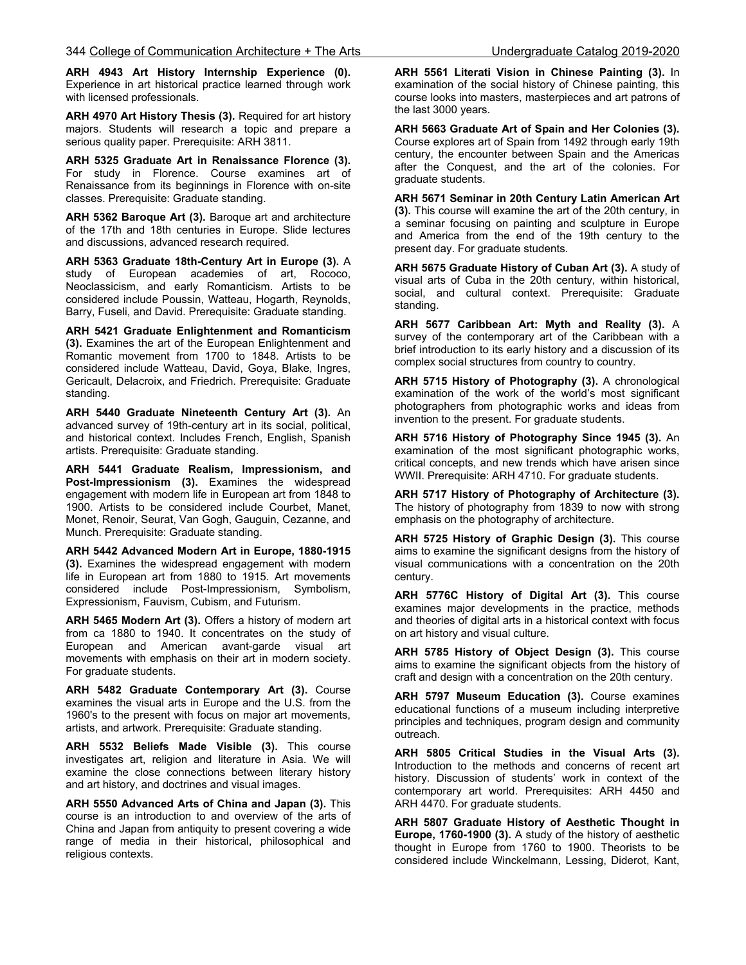**ARH 4943 Art History Internship Experience (0).** Experience in art historical practice learned through work with licensed professionals.

**ARH 4970 Art History Thesis (3).** Required for art history majors. Students will research a topic and prepare a serious quality paper. Prerequisite: ARH 3811.

**ARH 5325 Graduate Art in Renaissance Florence (3).**  For study in Florence. Course examines art of Renaissance from its beginnings in Florence with on-site classes. Prerequisite: Graduate standing.

**ARH 5362 Baroque Art (3).** Baroque art and architecture of the 17th and 18th centuries in Europe. Slide lectures and discussions, advanced research required.

**ARH 5363 Graduate 18th-Century Art in Europe (3).** A study of European academies of art, Rococo, Neoclassicism, and early Romanticism. Artists to be considered include Poussin, Watteau, Hogarth, Reynolds, Barry, Fuseli, and David. Prerequisite: Graduate standing.

**ARH 5421 Graduate Enlightenment and Romanticism (3).** Examines the art of the European Enlightenment and Romantic movement from 1700 to 1848. Artists to be considered include Watteau, David, Goya, Blake, Ingres, Gericault, Delacroix, and Friedrich. Prerequisite: Graduate standing.

**ARH 5440 Graduate Nineteenth Century Art (3).** An advanced survey of 19th-century art in its social, political, and historical context. Includes French, English, Spanish artists. Prerequisite: Graduate standing.

**ARH 5441 Graduate Realism, Impressionism, and Post-Impressionism (3).** Examines the widespread engagement with modern life in European art from 1848 to 1900. Artists to be considered include Courbet, Manet, Monet, Renoir, Seurat, Van Gogh, Gauguin, Cezanne, and Munch. Prerequisite: Graduate standing.

**ARH 5442 Advanced Modern Art in Europe, 1880-1915 (3).** Examines the widespread engagement with modern life in European art from 1880 to 1915. Art movements considered include Post-Impressionism, Symbolism, Expressionism, Fauvism, Cubism, and Futurism.

**ARH 5465 Modern Art (3).** Offers a history of modern art from ca 1880 to 1940. It concentrates on the study of European and American avant-garde visual art movements with emphasis on their art in modern society. For graduate students.

**ARH 5482 Graduate Contemporary Art (3).** Course examines the visual arts in Europe and the U.S. from the 1960's to the present with focus on major art movements, artists, and artwork. Prerequisite: Graduate standing.

**ARH 5532 Beliefs Made Visible (3).** This course investigates art, religion and literature in Asia. We will examine the close connections between literary history and art history, and doctrines and visual images.

**ARH 5550 Advanced Arts of China and Japan (3).** This course is an introduction to and overview of the arts of China and Japan from antiquity to present covering a wide range of media in their historical, philosophical and religious contexts.

**ARH 5561 Literati Vision in Chinese Painting (3).** In examination of the social history of Chinese painting, this course looks into masters, masterpieces and art patrons of the last 3000 years.

**ARH 5663 Graduate Art of Spain and Her Colonies (3).** Course explores art of Spain from 1492 through early 19th century, the encounter between Spain and the Americas after the Conquest, and the art of the colonies. For graduate students.

**ARH 5671 Seminar in 20th Century Latin American Art (3).** This course will examine the art of the 20th century, in a seminar focusing on painting and sculpture in Europe and America from the end of the 19th century to the present day. For graduate students.

**ARH 5675 Graduate History of Cuban Art (3).** A study of visual arts of Cuba in the 20th century, within historical, social, and cultural context. Prerequisite: Graduate standing.

**ARH 5677 Caribbean Art: Myth and Reality (3).** A survey of the contemporary art of the Caribbean with a brief introduction to its early history and a discussion of its complex social structures from country to country.

**ARH 5715 History of Photography (3).** A chronological examination of the work of the world's most significant photographers from photographic works and ideas from invention to the present. For graduate students.

**ARH 5716 History of Photography Since 1945 (3).** An examination of the most significant photographic works, critical concepts, and new trends which have arisen since WWII. Prerequisite: ARH 4710. For graduate students.

**ARH 5717 History of Photography of Architecture (3).** The history of photography from 1839 to now with strong emphasis on the photography of architecture.

**ARH 5725 History of Graphic Design (3).** This course aims to examine the significant designs from the history of visual communications with a concentration on the 20th century.

**ARH 5776C History of Digital Art (3).** This course examines major developments in the practice, methods and theories of digital arts in a historical context with focus on art history and visual culture.

**ARH 5785 History of Object Design (3).** This course aims to examine the significant objects from the history of craft and design with a concentration on the 20th century.

**ARH 5797 Museum Education (3).** Course examines educational functions of a museum including interpretive principles and techniques, program design and community outreach.

**ARH 5805 Critical Studies in the Visual Arts (3).** Introduction to the methods and concerns of recent art history. Discussion of students' work in context of the contemporary art world. Prerequisites: ARH 4450 and ARH 4470. For graduate students.

**ARH 5807 Graduate History of Aesthetic Thought in Europe, 1760-1900 (3).** A study of the history of aesthetic thought in Europe from 1760 to 1900. Theorists to be considered include Winckelmann, Lessing, Diderot, Kant,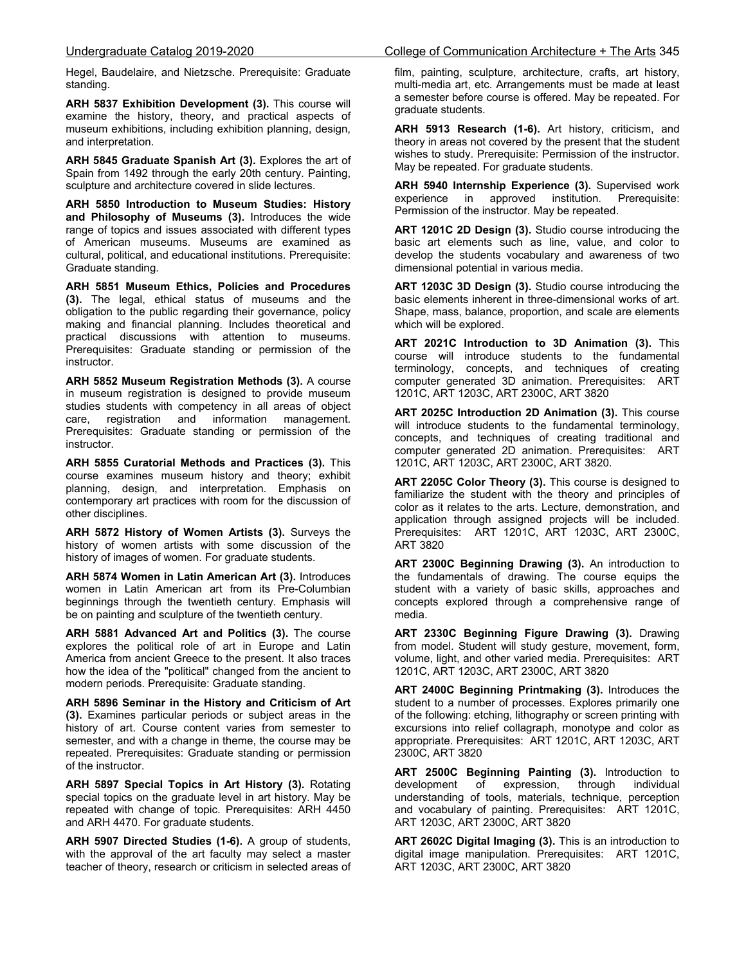Hegel, Baudelaire, and Nietzsche. Prerequisite: Graduate standing.

**ARH 5837 Exhibition Development (3).** This course will examine the history, theory, and practical aspects of museum exhibitions, including exhibition planning, design, and interpretation.

**ARH 5845 Graduate Spanish Art (3).** Explores the art of Spain from 1492 through the early 20th century. Painting, sculpture and architecture covered in slide lectures.

**ARH 5850 Introduction to Museum Studies: History and Philosophy of Museums (3).** Introduces the wide range of topics and issues associated with different types of American museums. Museums are examined as cultural, political, and educational institutions. Prerequisite: Graduate standing.

**ARH 5851 Museum Ethics, Policies and Procedures (3).** The legal, ethical status of museums and the obligation to the public regarding their governance, policy making and financial planning. Includes theoretical and practical discussions with attention to museums. Prerequisites: Graduate standing or permission of the instructor.

**ARH 5852 Museum Registration Methods (3).** A course in museum registration is designed to provide museum studies students with competency in all areas of object care, registration and information management. Prerequisites: Graduate standing or permission of the instructor.

**ARH 5855 Curatorial Methods and Practices (3).** This course examines museum history and theory; exhibit planning, design, and interpretation. Emphasis on contemporary art practices with room for the discussion of other disciplines.

**ARH 5872 History of Women Artists (3).** Surveys the history of women artists with some discussion of the history of images of women. For graduate students.

**ARH 5874 Women in Latin American Art (3).** Introduces women in Latin American art from its Pre-Columbian beginnings through the twentieth century. Emphasis will be on painting and sculpture of the twentieth century.

**ARH 5881 Advanced Art and Politics (3).** The course explores the political role of art in Europe and Latin America from ancient Greece to the present. It also traces how the idea of the "political" changed from the ancient to modern periods. Prerequisite: Graduate standing.

**ARH 5896 Seminar in the History and Criticism of Art (3).** Examines particular periods or subject areas in the history of art. Course content varies from semester to semester, and with a change in theme, the course may be repeated. Prerequisites: Graduate standing or permission of the instructor.

**ARH 5897 Special Topics in Art History (3).** Rotating special topics on the graduate level in art history. May be repeated with change of topic. Prerequisites: ARH 4450 and ARH 4470. For graduate students.

**ARH 5907 Directed Studies (1-6).** A group of students, with the approval of the art faculty may select a master teacher of theory, research or criticism in selected areas of film, painting, sculpture, architecture, crafts, art history, multi-media art, etc. Arrangements must be made at least a semester before course is offered. May be repeated. For graduate students.

**ARH 5913 Research (1-6).** Art history, criticism, and theory in areas not covered by the present that the student wishes to study. Prerequisite: Permission of the instructor. May be repeated. For graduate students.

**ARH 5940 Internship Experience (3).** Supervised work experience in approved institution. Prerequisite: Permission of the instructor. May be repeated.

**ART 1201C 2D Design (3).** Studio course introducing the basic art elements such as line, value, and color to develop the students vocabulary and awareness of two dimensional potential in various media.

**ART 1203C 3D Design (3).** Studio course introducing the basic elements inherent in three-dimensional works of art. Shape, mass, balance, proportion, and scale are elements which will be explored.

**ART 2021C Introduction to 3D Animation (3).** This course will introduce students to the fundamental terminology, concepts, and techniques of creating computer generated 3D animation. Prerequisites: ART 1201C, ART 1203C, ART 2300C, ART 3820

**ART 2025C Introduction 2D Animation (3).** This course will introduce students to the fundamental terminology, concepts, and techniques of creating traditional and computer generated 2D animation. Prerequisites: ART 1201C, ART 1203C, ART 2300C, ART 3820.

**ART 2205C Color Theory (3).** This course is designed to familiarize the student with the theory and principles of color as it relates to the arts. Lecture, demonstration, and application through assigned projects will be included. Prerequisites: ART 1201C, ART 1203C, ART 2300C, ART 3820

**ART 2300C Beginning Drawing (3).** An introduction to the fundamentals of drawing. The course equips the student with a variety of basic skills, approaches and concepts explored through a comprehensive range of media.

**ART 2330C Beginning Figure Drawing (3).** Drawing from model. Student will study gesture, movement, form, volume, light, and other varied media. Prerequisites: ART 1201C, ART 1203C, ART 2300C, ART 3820

**ART 2400C Beginning Printmaking (3).** Introduces the student to a number of processes. Explores primarily one of the following: etching, lithography or screen printing with excursions into relief collagraph, monotype and color as appropriate. Prerequisites: ART 1201C, ART 1203C, ART 2300C, ART 3820

**ART 2500C Beginning Painting (3).** Introduction to development of expression, through individual understanding of tools, materials, technique, perception and vocabulary of painting. Prerequisites: ART 1201C, ART 1203C, ART 2300C, ART 3820

**ART 2602C Digital Imaging (3).** This is an introduction to digital image manipulation. Prerequisites: ART 1201C, ART 1203C, ART 2300C, ART 3820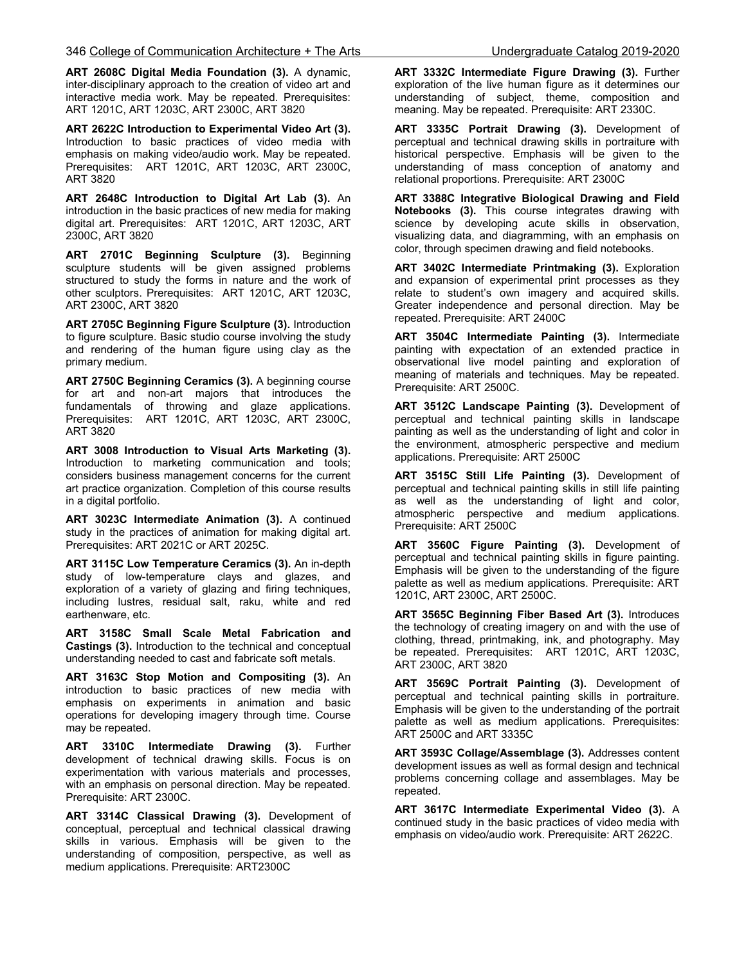**ART 2608C Digital Media Foundation (3).** A dynamic, inter-disciplinary approach to the creation of video art and interactive media work. May be repeated. Prerequisites: ART 1201C, ART 1203C, ART 2300C, ART 3820

**ART 2622C Introduction to Experimental Video Art (3).** Introduction to basic practices of video media with emphasis on making video/audio work. May be repeated. Prerequisites: ART 1201C, ART 1203C, ART 2300C, ART 3820

**ART 2648C Introduction to Digital Art Lab (3).** An introduction in the basic practices of new media for making digital art. Prerequisites: ART 1201C, ART 1203C, ART 2300C, ART 3820

**ART 2701C Beginning Sculpture (3).** Beginning sculpture students will be given assigned problems structured to study the forms in nature and the work of other sculptors. Prerequisites: ART 1201C, ART 1203C, ART 2300C, ART 3820

**ART 2705C Beginning Figure Sculpture (3).** Introduction to figure sculpture. Basic studio course involving the study and rendering of the human figure using clay as the primary medium.

**ART 2750C Beginning Ceramics (3).** A beginning course for art and non-art majors that introduces the fundamentals of throwing and glaze applications. Prerequisites: ART 1201C, ART 1203C, ART 2300C, ART 3820

**ART 3008 Introduction to Visual Arts Marketing (3).** Introduction to marketing communication and tools; considers business management concerns for the current art practice organization. Completion of this course results in a digital portfolio.

**ART 3023C Intermediate Animation (3).** A continued study in the practices of animation for making digital art. Prerequisites: ART 2021C or ART 2025C.

**ART 3115C Low Temperature Ceramics (3).** An in-depth study of low-temperature clays and glazes, and exploration of a variety of glazing and firing techniques, including lustres, residual salt, raku, white and red earthenware, etc.

**ART 3158C Small Scale Metal Fabrication and Castings (3).** Introduction to the technical and conceptual understanding needed to cast and fabricate soft metals.

**ART 3163C Stop Motion and Compositing (3).** An introduction to basic practices of new media with emphasis on experiments in animation and basic operations for developing imagery through time. Course may be repeated.

**ART 3310C Intermediate Drawing (3).** Further development of technical drawing skills. Focus is on experimentation with various materials and processes, with an emphasis on personal direction. May be repeated. Prerequisite: ART 2300C.

**ART 3314C Classical Drawing (3).** Development of conceptual, perceptual and technical classical drawing skills in various. Emphasis will be given to the understanding of composition, perspective, as well as medium applications. Prerequisite: ART2300C

**ART 3332C Intermediate Figure Drawing (3).** Further exploration of the live human figure as it determines our understanding of subject, theme, composition and meaning. May be repeated. Prerequisite: ART 2330C.

**ART 3335C Portrait Drawing (3).** Development of perceptual and technical drawing skills in portraiture with historical perspective. Emphasis will be given to the understanding of mass conception of anatomy and relational proportions. Prerequisite: ART 2300C

**ART 3388C Integrative Biological Drawing and Field Notebooks (3).** This course integrates drawing with science by developing acute skills in observation, visualizing data, and diagramming, with an emphasis on color, through specimen drawing and field notebooks.

**ART 3402C Intermediate Printmaking (3).** Exploration and expansion of experimental print processes as they relate to student's own imagery and acquired skills. Greater independence and personal direction. May be repeated. Prerequisite: ART 2400C

**ART 3504C Intermediate Painting (3).** Intermediate painting with expectation of an extended practice in observational live model painting and exploration of meaning of materials and techniques. May be repeated. Prerequisite: ART 2500C.

**ART 3512C Landscape Painting (3).** Development of perceptual and technical painting skills in landscape painting as well as the understanding of light and color in the environment, atmospheric perspective and medium applications. Prerequisite: ART 2500C

**ART 3515C Still Life Painting (3).** Development of perceptual and technical painting skills in still life painting as well as the understanding of light and color, atmospheric perspective and medium applications. Prerequisite: ART 2500C

**ART 3560C Figure Painting (3).** Development of perceptual and technical painting skills in figure painting. Emphasis will be given to the understanding of the figure palette as well as medium applications. Prerequisite: ART 1201C, ART 2300C, ART 2500C.

**ART 3565C Beginning Fiber Based Art (3).** Introduces the technology of creating imagery on and with the use of clothing, thread, printmaking, ink, and photography. May be repeated. Prerequisites: ART 1201C, ART 1203C, ART 2300C, ART 3820

**ART 3569C Portrait Painting (3).** Development of perceptual and technical painting skills in portraiture. Emphasis will be given to the understanding of the portrait palette as well as medium applications. Prerequisites: ART 2500C and ART 3335C

**ART 3593C Collage/Assemblage (3).** Addresses content development issues as well as formal design and technical problems concerning collage and assemblages. May be repeated.

**ART 3617C Intermediate Experimental Video (3).** A continued study in the basic practices of video media with emphasis on video/audio work. Prerequisite: ART 2622C.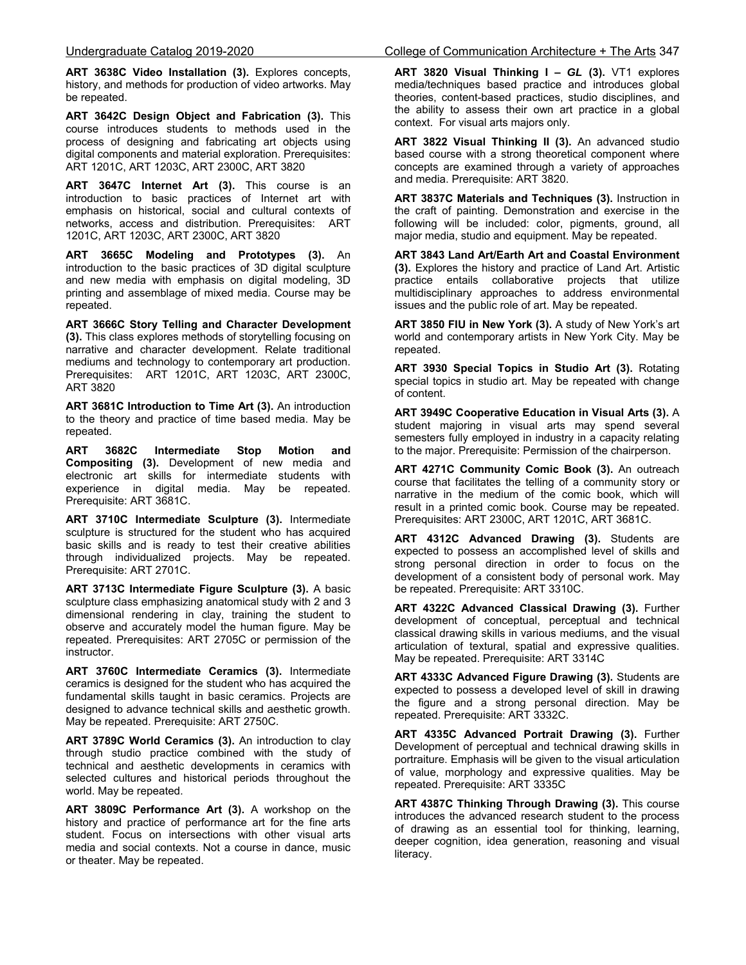**ART 3638C Video Installation (3).** Explores concepts, history, and methods for production of video artworks. May be repeated.

**ART 3642C Design Object and Fabrication (3).** This course introduces students to methods used in the process of designing and fabricating art objects using digital components and material exploration. Prerequisites: ART 1201C, ART 1203C, ART 2300C, ART 3820

**ART 3647C Internet Art (3).** This course is an introduction to basic practices of Internet art with emphasis on historical, social and cultural contexts of networks, access and distribution. Prerequisites: ART 1201C, ART 1203C, ART 2300C, ART 3820

**ART 3665C Modeling and Prototypes (3).** An introduction to the basic practices of 3D digital sculpture and new media with emphasis on digital modeling, 3D printing and assemblage of mixed media. Course may be repeated.

**ART 3666C Story Telling and Character Development (3).** This class explores methods of storytelling focusing on narrative and character development. Relate traditional mediums and technology to contemporary art production. Prerequisites: ART 1201C, ART 1203C, ART 2300C, ART 3820 í

**ART 3681C Introduction to Time Art (3).** An introduction to the theory and practice of time based media. May be repeated.

**ART 3682C Intermediate Stop Motion and Compositing (3).** Development of new media and electronic art skills for intermediate students with experience in digital media. May be repeated. Prerequisite: ART 3681C.

**ART 3710C Intermediate Sculpture (3).** Intermediate sculpture is structured for the student who has acquired basic skills and is ready to test their creative abilities through individualized projects. May be repeated. Prerequisite: ART 2701C.

**ART 3713C Intermediate Figure Sculpture (3).** A basic sculpture class emphasizing anatomical study with 2 and 3 dimensional rendering in clay, training the student to observe and accurately model the human figure. May be repeated. Prerequisites: ART 2705C or permission of the instructor.

**ART 3760C Intermediate Ceramics (3).** Intermediate ceramics is designed for the student who has acquired the fundamental skills taught in basic ceramics. Projects are designed to advance technical skills and aesthetic growth. May be repeated. Prerequisite: ART 2750C.

**ART 3789C World Ceramics (3).** An introduction to clay through studio practice combined with the study of technical and aesthetic developments in ceramics with selected cultures and historical periods throughout the world. May be repeated.

**ART 3809C Performance Art (3).** A workshop on the history and practice of performance art for the fine arts student. Focus on intersections with other visual arts media and social contexts. Not a course in dance, music or theater. May be repeated.

#### Undergraduate Catalog 2019-2020 College of Communication Architecture + The Arts 347

**ART 3820 Visual Thinking I –** *GL* **(3).** VT1 explores media/techniques based practice and introduces global theories, content-based practices, studio disciplines, and the ability to assess their own art practice in a global context. For visual arts majors only.

**ART 3822 Visual Thinking II (3).** An advanced studio based course with a strong theoretical component where concepts are examined through a variety of approaches and media. Prerequisite: ART 3820.

**ART 3837C Materials and Techniques (3).** Instruction in the craft of painting. Demonstration and exercise in the following will be included: color, pigments, ground, all major media, studio and equipment. May be repeated.

**ART 3843 Land Art/Earth Art and Coastal Environment (3).** Explores the history and practice of Land Art. Artistic practice entails collaborative projects that utilize multidisciplinary approaches to address environmental issues and the public role of art. May be repeated.

**ART 3850 FIU in New York (3).** A study of New York's art world and contemporary artists in New York City. May be repeated.

**ART 3930 Special Topics in Studio Art (3).** Rotating special topics in studio art. May be repeated with change of content.

**ART 3949C Cooperative Education in Visual Arts (3).** A student majoring in visual arts may spend several semesters fully employed in industry in a capacity relating to the major. Prerequisite: Permission of the chairperson.

**ART 4271C Community Comic Book (3).** An outreach course that facilitates the telling of a community story or narrative in the medium of the comic book, which will result in a printed comic book. Course may be repeated. Prerequisites: ART 2300C, ART 1201C, ART 3681C.

**ART 4312C Advanced Drawing (3).** Students are expected to possess an accomplished level of skills and strong personal direction in order to focus on the development of a consistent body of personal work. May be repeated. Prerequisite: ART 3310C.

**ART 4322C Advanced Classical Drawing (3).** Further development of conceptual, perceptual and technical classical drawing skills in various mediums, and the visual articulation of textural, spatial and expressive qualities. May be repeated. Prerequisite: ART 3314C

**ART 4333C Advanced Figure Drawing (3).** Students are expected to possess a developed level of skill in drawing the figure and a strong personal direction. May be repeated. Prerequisite: ART 3332C.

**ART 4335C Advanced Portrait Drawing (3).** Further Development of perceptual and technical drawing skills in portraiture. Emphasis will be given to the visual articulation of value, morphology and expressive qualities. May be repeated. Prerequisite: ART 3335C

**ART 4387C Thinking Through Drawing (3).** This course introduces the advanced research student to the process of drawing as an essential tool for thinking, learning, deeper cognition, idea generation, reasoning and visual literacy.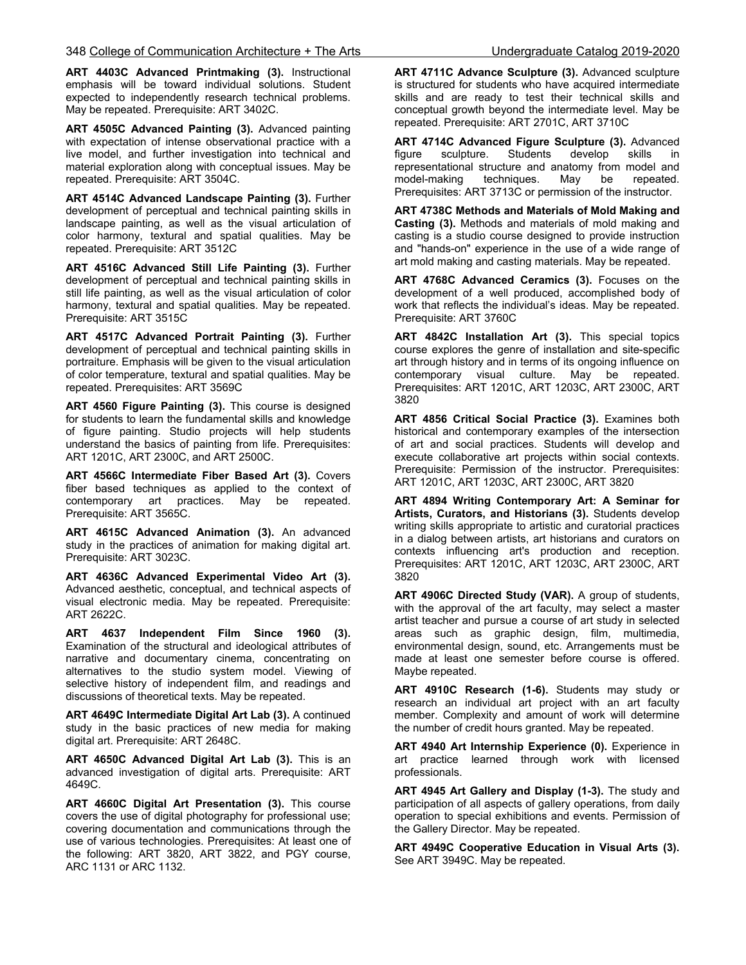**ART 4403C Advanced Printmaking (3).** Instructional emphasis will be toward individual solutions. Student expected to independently research technical problems. May be repeated. Prerequisite: ART 3402C.

**ART 4505C Advanced Painting (3).** Advanced painting with expectation of intense observational practice with a live model, and further investigation into technical and material exploration along with conceptual issues. May be repeated. Prerequisite: ART 3504C.

**ART 4514C Advanced Landscape Painting (3).** Further development of perceptual and technical painting skills in landscape painting, as well as the visual articulation of color harmony, textural and spatial qualities. May be repeated. Prerequisite: ART 3512C

**ART 4516C Advanced Still Life Painting (3).** Further development of perceptual and technical painting skills in still life painting, as well as the visual articulation of color harmony, textural and spatial qualities. May be repeated. Prerequisite: ART 3515C

**ART 4517C Advanced Portrait Painting (3).** Further development of perceptual and technical painting skills in portraiture. Emphasis will be given to the visual articulation of color temperature, textural and spatial qualities. May be repeated. Prerequisites: ART 3569C

**ART 4560 Figure Painting (3).** This course is designed for students to learn the fundamental skills and knowledge of figure painting. Studio projects will help students understand the basics of painting from life. Prerequisites: ART 1201C, ART 2300C, and ART 2500C.

**ART 4566C Intermediate Fiber Based Art (3).** Covers fiber based techniques as applied to the context of contemporary art practices. May be repeated. Prerequisite: ART 3565C.

**ART 4615C Advanced Animation (3).** An advanced study in the practices of animation for making digital art. Prerequisite: ART 3023C.

**ART 4636C Advanced Experimental Video Art (3).** Advanced aesthetic, conceptual, and technical aspects of visual electronic media. May be repeated. Prerequisite: ART 2622C.

**ART 4637 Independent Film Since 1960 (3).** Examination of the structural and ideological attributes of narrative and documentary cinema, concentrating on alternatives to the studio system model. Viewing of selective history of independent film, and readings and discussions of theoretical texts. May be repeated.

**ART 4649C Intermediate Digital Art Lab (3).** A continued study in the basic practices of new media for making digital art. Prerequisite: ART 2648C.

**ART 4650C Advanced Digital Art Lab (3).** This is an advanced investigation of digital arts. Prerequisite: ART 4649C.

**ART 4660C Digital Art Presentation (3).** This course covers the use of digital photography for professional use; covering documentation and communications through the use of various technologies. Prerequisites: At least one of the following: ART 3820, ART 3822, and PGY course, ARC 1131 or ARC 1132.

**ART 4711C Advance Sculpture (3).** Advanced sculpture is structured for students who have acquired intermediate skills and are ready to test their technical skills and conceptual growth beyond the intermediate level. May be repeated. Prerequisite: ART 2701C, ART 3710C

**ART 4714C Advanced Figure Sculpture (3).** Advanced figure sculpture. Students develop skills in representational structure and anatomy from model and model-making techniques. May be repeated. Prerequisites: ART 3713C or permission of the instructor.

**ART 4738C Methods and Materials of Mold Making and Casting (3).** Methods and materials of mold making and casting is a studio course designed to provide instruction and "hands-on" experience in the use of a wide range of art mold making and casting materials. May be repeated.

**ART 4768C Advanced Ceramics (3).** Focuses on the development of a well produced, accomplished body of work that reflects the individual's ideas. May be repeated. Prerequisite: ART 3760C

**ART 4842C Installation Art (3).** This special topics course explores the genre of installation and site-specific art through history and in terms of its ongoing influence on contemporary visual culture. May be repeated. Prerequisites: ART 1201C, ART 1203C, ART 2300C, ART 3820

**ART 4856 Critical Social Practice (3).** Examines both historical and contemporary examples of the intersection of art and social practices. Students will develop and execute collaborative art projects within social contexts. Prerequisite: Permission of the instructor. Prerequisites: ART 1201C, ART 1203C, ART 2300C, ART 3820

**ART 4894 Writing Contemporary Art: A Seminar for Artists, Curators, and Historians (3).** Students develop writing skills appropriate to artistic and curatorial practices in a dialog between artists, art historians and curators on contexts influencing art's production and reception. Prerequisites: ART 1201C, ART 1203C, ART 2300C, ART 3820 Ì

**ART 4906C Directed Study (VAR).** A group of students, with the approval of the art faculty, may select a master artist teacher and pursue a course of art study in selected areas such as graphic design, film, multimedia, environmental design, sound, etc. Arrangements must be made at least one semester before course is offered. Maybe repeated.

**ART 4910C Research (1-6).** Students may study or research an individual art project with an art faculty member. Complexity and amount of work will determine the number of credit hours granted. May be repeated.

**ART 4940 Art Internship Experience (0).** Experience in art practice learned through work with licensed professionals.

**ART 4945 Art Gallery and Display (1-3).** The study and participation of all aspects of gallery operations, from daily operation to special exhibitions and events. Permission of the Gallery Director. May be repeated.

**ART 4949C Cooperative Education in Visual Arts (3).** See ART 3949C. May be repeated.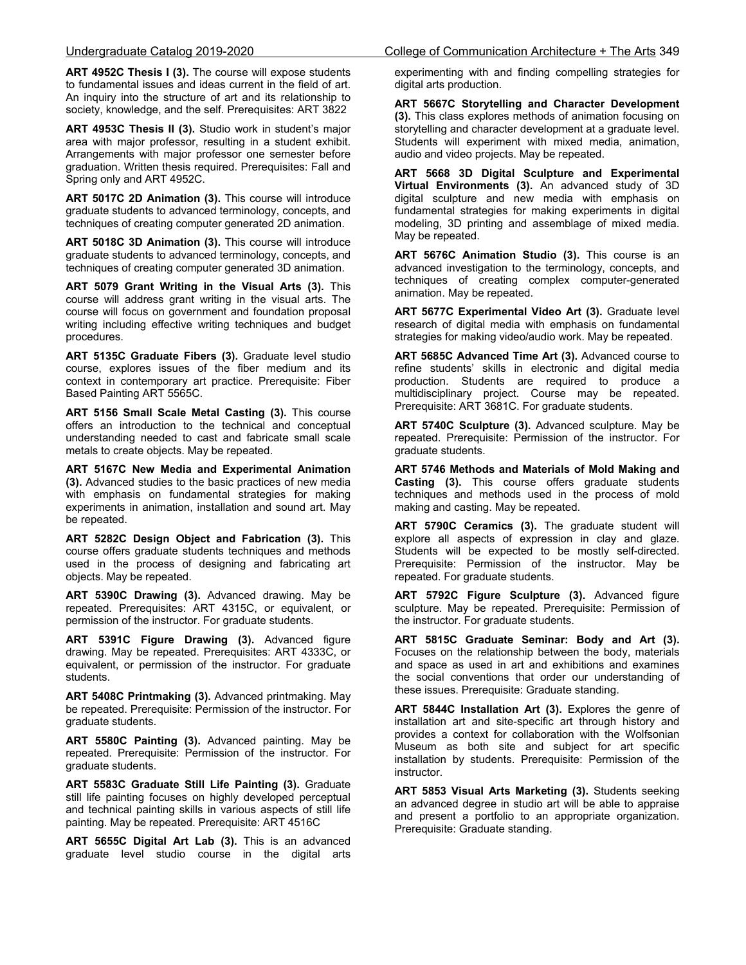**ART 4952C Thesis I (3).** The course will expose students to fundamental issues and ideas current in the field of art. An inquiry into the structure of art and its relationship to society, knowledge, and the self. Prerequisites: ART 3822

**ART 4953C Thesis II (3).** Studio work in student's major area with major professor, resulting in a student exhibit. Arrangements with major professor one semester before graduation. Written thesis required. Prerequisites: Fall and Spring only and ART 4952C.

**ART 5017C 2D Animation (3).** This course will introduce graduate students to advanced terminology, concepts, and techniques of creating computer generated 2D animation.

**ART 5018C 3D Animation (3).** This course will introduce graduate students to advanced terminology, concepts, and techniques of creating computer generated 3D animation.

**ART 5079 Grant Writing in the Visual Arts (3).** This course will address grant writing in the visual arts. The course will focus on government and foundation proposal writing including effective writing techniques and budget procedures.

**ART 5135C Graduate Fibers (3).** Graduate level studio course, explores issues of the fiber medium and its context in contemporary art practice. Prerequisite: Fiber Based Painting ART 5565C.

**ART 5156 Small Scale Metal Casting (3).** This course offers an introduction to the technical and conceptual understanding needed to cast and fabricate small scale metals to create objects. May be repeated.

**ART 5167C New Media and Experimental Animation (3).** Advanced studies to the basic practices of new media with emphasis on fundamental strategies for making experiments in animation, installation and sound art. May be repeated.

**ART 5282C Design Object and Fabrication (3).** This course offers graduate students techniques and methods used in the process of designing and fabricating art objects. May be repeated.

**ART 5390C Drawing (3).** Advanced drawing. May be repeated. Prerequisites: ART 4315C, or equivalent, or permission of the instructor. For graduate students.

**ART 5391C Figure Drawing (3).** Advanced figure drawing. May be repeated. Prerequisites: ART 4333C, or equivalent, or permission of the instructor. For graduate students.

**ART 5408C Printmaking (3).** Advanced printmaking. May be repeated. Prerequisite: Permission of the instructor. For graduate students.

**ART 5580C Painting (3).** Advanced painting. May be repeated. Prerequisite: Permission of the instructor. For graduate students.

**ART 5583C Graduate Still Life Painting (3).** Graduate still life painting focuses on highly developed perceptual and technical painting skills in various aspects of still life painting. May be repeated. Prerequisite: ART 4516C

**ART 5655C Digital Art Lab (3).** This is an advanced graduate level studio course in the digital arts experimenting with and finding compelling strategies for digital arts production.

**ART 5667C Storytelling and Character Development (3).** This class explores methods of animation focusing on storytelling and character development at a graduate level. Students will experiment with mixed media, animation, audio and video projects. May be repeated.

**ART 5668 3D Digital Sculpture and Experimental Virtual Environments (3).** An advanced study of 3D digital sculpture and new media with emphasis on fundamental strategies for making experiments in digital modeling, 3D printing and assemblage of mixed media. May be repeated.

**ART 5676C Animation Studio (3).** This course is an advanced investigation to the terminology, concepts, and techniques of creating complex computer-generated animation. May be repeated.

**ART 5677C Experimental Video Art (3).** Graduate level research of digital media with emphasis on fundamental strategies for making video/audio work. May be repeated.

**ART 5685C Advanced Time Art (3).** Advanced course to refine students' skills in electronic and digital media production. Students are required to produce a multidisciplinary project. Course may be repeated. Prerequisite: ART 3681C. For graduate students.

**ART 5740C Sculpture (3).** Advanced sculpture. May be repeated. Prerequisite: Permission of the instructor. For graduate students.

**ART 5746 Methods and Materials of Mold Making and Casting (3).** This course offers graduate students techniques and methods used in the process of mold making and casting. May be repeated.

**ART 5790C Ceramics (3).** The graduate student will explore all aspects of expression in clay and glaze. Students will be expected to be mostly self-directed. Prerequisite: Permission of the instructor. May be repeated. For graduate students.

**ART 5792C Figure Sculpture (3).** Advanced figure sculpture. May be repeated. Prerequisite: Permission of the instructor. For graduate students.

**ART 5815C Graduate Seminar: Body and Art (3).** Focuses on the relationship between the body, materials and space as used in art and exhibitions and examines the social conventions that order our understanding of these issues. Prerequisite: Graduate standing.

**ART 5844C Installation Art (3).** Explores the genre of installation art and site-specific art through history and provides a context for collaboration with the Wolfsonian Museum as both site and subject for art specific installation by students. Prerequisite: Permission of the instructor.

**ART 5853 Visual Arts Marketing (3).** Students seeking an advanced degree in studio art will be able to appraise and present a portfolio to an appropriate organization. Prerequisite: Graduate standing.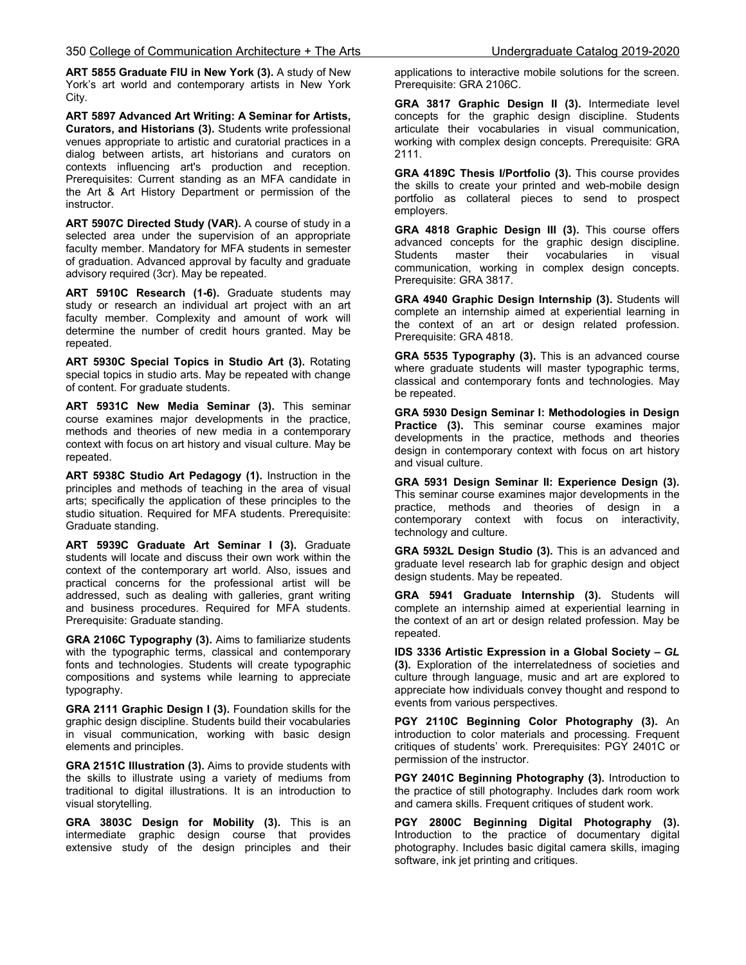**ART 5855 Graduate FIU in New York (3).** A study of New York's art world and contemporary artists in New York City.

**ART 5897 Advanced Art Writing: A Seminar for Artists, Curators, and Historians (3).** Students write professional venues appropriate to artistic and curatorial practices in a dialog between artists, art historians and curators on contexts influencing art's production and reception. Prerequisites: Current standing as an MFA candidate in the Art & Art History Department or permission of the instructor.

**ART 5907C Directed Study (VAR).** A course of study in a selected area under the supervision of an appropriate faculty member. Mandatory for MFA students in semester of graduation. Advanced approval by faculty and graduate advisory required (3cr). May be repeated.

**ART 5910C Research (1-6).** Graduate students may study or research an individual art project with an art faculty member. Complexity and amount of work will determine the number of credit hours granted. May be repeated.

**ART 5930C Special Topics in Studio Art (3).** Rotating special topics in studio arts. May be repeated with change of content. For graduate students.

**ART 5931C New Media Seminar (3).** This seminar course examines major developments in the practice, methods and theories of new media in a contemporary context with focus on art history and visual culture. May be repeated.

**ART 5938C Studio Art Pedagogy (1).** Instruction in the principles and methods of teaching in the area of visual arts; specifically the application of these principles to the studio situation. Required for MFA students. Prerequisite: Graduate standing.

**ART 5939C Graduate Art Seminar I (3).** Graduate students will locate and discuss their own work within the context of the contemporary art world. Also, issues and practical concerns for the professional artist will be addressed, such as dealing with galleries, grant writing and business procedures. Required for MFA students. Prerequisite: Graduate standing.

**GRA 2106C Typography (3).** Aims to familiarize students with the typographic terms, classical and contemporary fonts and technologies. Students will create typographic compositions and systems while learning to appreciate typography.

**GRA 2111 Graphic Design I (3).** Foundation skills for the graphic design discipline. Students build their vocabularies in visual communication, working with basic design elements and principles.

**GRA 2151C Illustration (3).** Aims to provide students with the skills to illustrate using a variety of mediums from traditional to digital illustrations. It is an introduction to visual storytelling.

**GRA 3803C Design for Mobility (3).** This is an intermediate graphic design course that provides extensive study of the design principles and their applications to interactive mobile solutions for the screen. Prerequisite: GRA 2106C.

**GRA 3817 Graphic Design II (3).** Intermediate level concepts for the graphic design discipline. Students articulate their vocabularies in visual communication, working with complex design concepts. Prerequisite: GRA 2111.

**GRA 4189C Thesis I/Portfolio (3).** This course provides the skills to create your printed and web-mobile design portfolio as collateral pieces to send to prospect employers.

**GRA 4818 Graphic Design III (3).** This course offers advanced concepts for the graphic design discipline. Students master their vocabularies in visual communication, working in complex design concepts. Prerequisite: GRA 3817.

**GRA 4940 Graphic Design Internship (3).** Students will complete an internship aimed at experiential learning in the context of an art or design related profession. Prerequisite: GRA 4818.

**GRA 5535 Typography (3).** This is an advanced course where graduate students will master typographic terms, classical and contemporary fonts and technologies. May be repeated.

**GRA 5930 Design Seminar I: Methodologies in Design Practice (3).** This seminar course examines major developments in the practice, methods and theories design in contemporary context with focus on art history and visual culture.

**GRA 5931 Design Seminar II: Experience Design (3).** This seminar course examines major developments in the practice, methods and theories of design in a contemporary context with focus on interactivity, technology and culture.

**GRA 5932L Design Studio (3).** This is an advanced and graduate level research lab for graphic design and object design students. May be repeated.

**GRA 5941 Graduate Internship (3).** Students will complete an internship aimed at experiential learning in the context of an art or design related profession. May be repeated.

**IDS 3336 Artistic Expression in a Global Society –** *GL* **(3).** Exploration of the interrelatedness of societies and culture through language, music and art are explored to appreciate how individuals convey thought and respond to events from various perspectives.

**PGY 2110C Beginning Color Photography (3).** An introduction to color materials and processing. Frequent critiques of students' work. Prerequisites: PGY 2401C or permission of the instructor.

**PGY 2401C Beginning Photography (3).** Introduction to the practice of still photography. Includes dark room work and camera skills. Frequent critiques of student work.

**PGY 2800C Beginning Digital Photography (3).** Introduction to the practice of documentary digital photography. Includes basic digital camera skills, imaging software, ink jet printing and critiques.